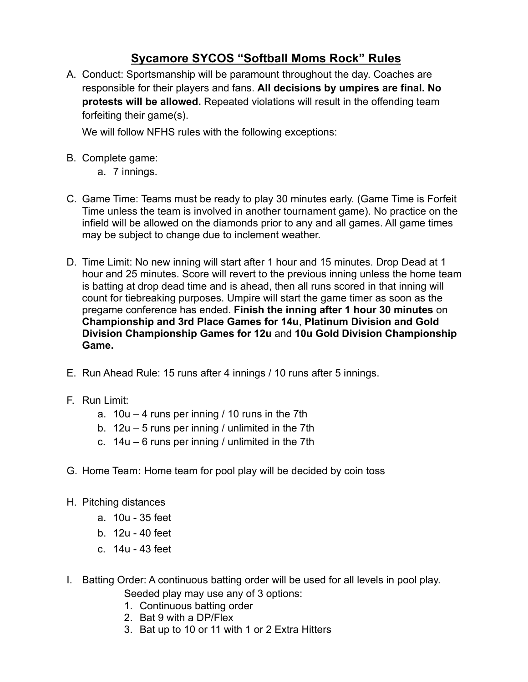## **Sycamore SYCOS "Softball Moms Rock" Rules**

A. Conduct: Sportsmanship will be paramount throughout the day. Coaches are responsible for their players and fans. **All decisions by umpires are final. No protests will be allowed.** Repeated violations will result in the offending team forfeiting their game(s).

We will follow NFHS rules with the following exceptions:

- B. Complete game:
	- a. 7 innings.
- C. Game Time: Teams must be ready to play 30 minutes early. (Game Time is Forfeit Time unless the team is involved in another tournament game). No practice on the infield will be allowed on the diamonds prior to any and all games. All game times may be subject to change due to inclement weather.
- D. Time Limit: No new inning will start after 1 hour and 15 minutes. Drop Dead at 1 hour and 25 minutes. Score will revert to the previous inning unless the home team is batting at drop dead time and is ahead, then all runs scored in that inning will count for tiebreaking purposes. Umpire will start the game timer as soon as the pregame conference has ended. **Finish the inning after 1 hour 30 minutes** on **Championship and 3rd Place Games for 14u**, **Platinum Division and Gold Division Championship Games for 12u** and **10u Gold Division Championship Game.**
- E. Run Ahead Rule: 15 runs after 4 innings / 10 runs after 5 innings.
- F. Run Limit:
	- a.  $10u 4$  runs per inning / 10 runs in the 7th
	- b. 12u 5 runs per inning / unlimited in the 7th
	- c.  $14u 6$  runs per inning / unlimited in the 7th
- G. Home Team**:** Home team for pool play will be decided by coin toss
- H. Pitching distances
	- a. 10u 35 feet
	- b. 12u 40 feet
	- c. 14u 43 feet
- I. Batting Order: A continuous batting order will be used for all levels in pool play.
	- Seeded play may use any of 3 options:
	- 1. Continuous batting order
	- 2. Bat 9 with a DP/Flex
	- 3. Bat up to 10 or 11 with 1 or 2 Extra Hitters